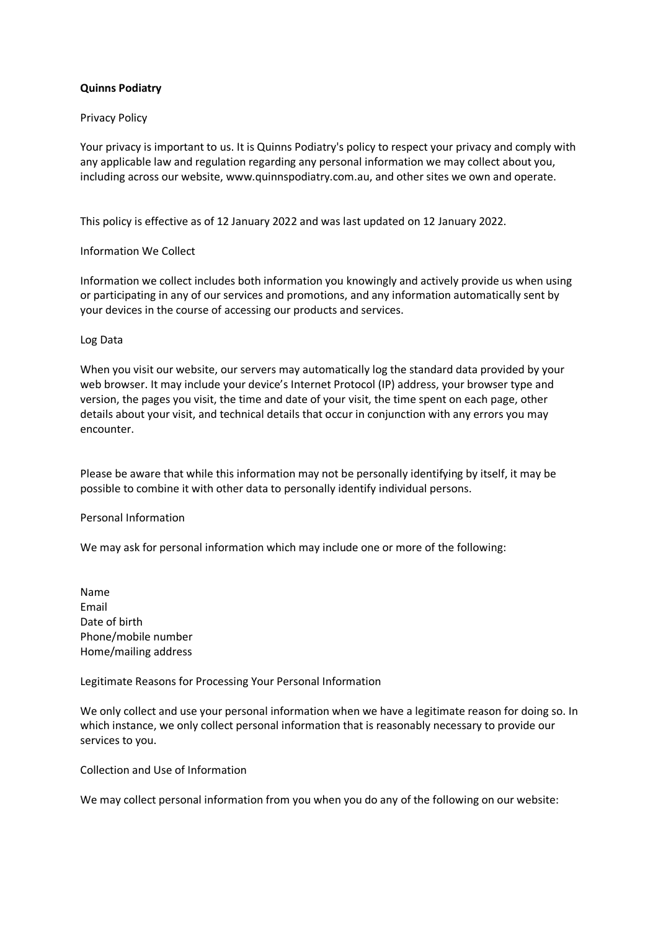# **Quinns Podiatry**

## Privacy Policy

Your privacy is important to us. It is Quinns Podiatry's policy to respect your privacy and comply with any applicable law and regulation regarding any personal information we may collect about you, including across our website, www.quinnspodiatry.com.au, and other sites we own and operate.

This policy is effective as of 12 January 2022 and was last updated on 12 January 2022.

## Information We Collect

Information we collect includes both information you knowingly and actively provide us when using or participating in any of our services and promotions, and any information automatically sent by your devices in the course of accessing our products and services.

## Log Data

When you visit our website, our servers may automatically log the standard data provided by your web browser. It may include your device's Internet Protocol (IP) address, your browser type and version, the pages you visit, the time and date of your visit, the time spent on each page, other details about your visit, and technical details that occur in conjunction with any errors you may encounter.

Please be aware that while this information may not be personally identifying by itself, it may be possible to combine it with other data to personally identify individual persons.

## Personal Information

We may ask for personal information which may include one or more of the following:

Name Email Date of birth Phone/mobile number Home/mailing address

Legitimate Reasons for Processing Your Personal Information

We only collect and use your personal information when we have a legitimate reason for doing so. In which instance, we only collect personal information that is reasonably necessary to provide our services to you.

Collection and Use of Information

We may collect personal information from you when you do any of the following on our website: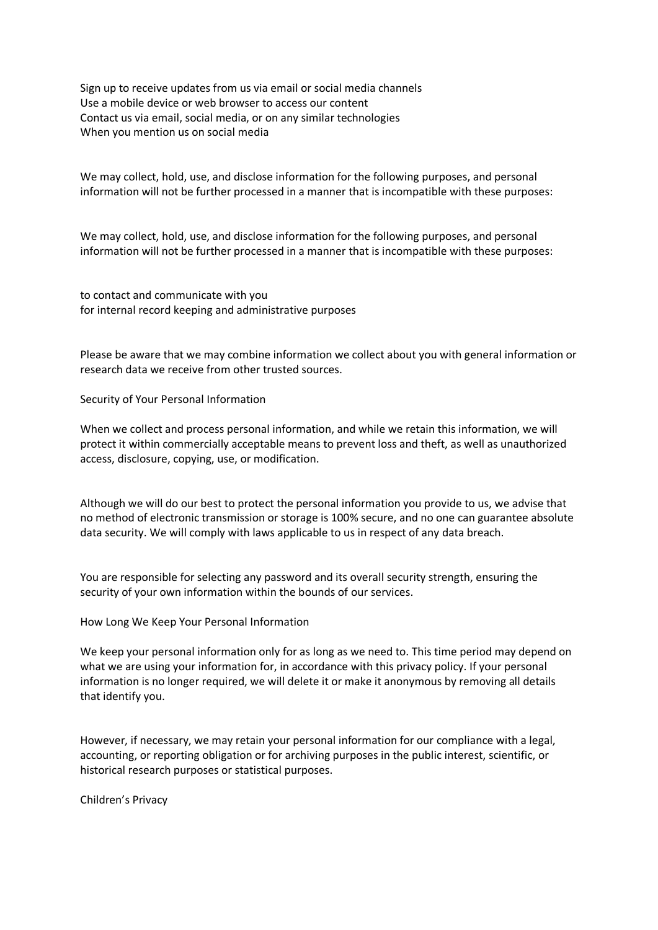Sign up to receive updates from us via email or social media channels Use a mobile device or web browser to access our content Contact us via email, social media, or on any similar technologies When you mention us on social media

We may collect, hold, use, and disclose information for the following purposes, and personal information will not be further processed in a manner that is incompatible with these purposes:

We may collect, hold, use, and disclose information for the following purposes, and personal information will not be further processed in a manner that is incompatible with these purposes:

to contact and communicate with you for internal record keeping and administrative purposes

Please be aware that we may combine information we collect about you with general information or research data we receive from other trusted sources.

Security of Your Personal Information

When we collect and process personal information, and while we retain this information, we will protect it within commercially acceptable means to prevent loss and theft, as well as unauthorized access, disclosure, copying, use, or modification.

Although we will do our best to protect the personal information you provide to us, we advise that no method of electronic transmission or storage is 100% secure, and no one can guarantee absolute data security. We will comply with laws applicable to us in respect of any data breach.

You are responsible for selecting any password and its overall security strength, ensuring the security of your own information within the bounds of our services.

How Long We Keep Your Personal Information

We keep your personal information only for as long as we need to. This time period may depend on what we are using your information for, in accordance with this privacy policy. If your personal information is no longer required, we will delete it or make it anonymous by removing all details that identify you.

However, if necessary, we may retain your personal information for our compliance with a legal, accounting, or reporting obligation or for archiving purposes in the public interest, scientific, or historical research purposes or statistical purposes.

Children's Privacy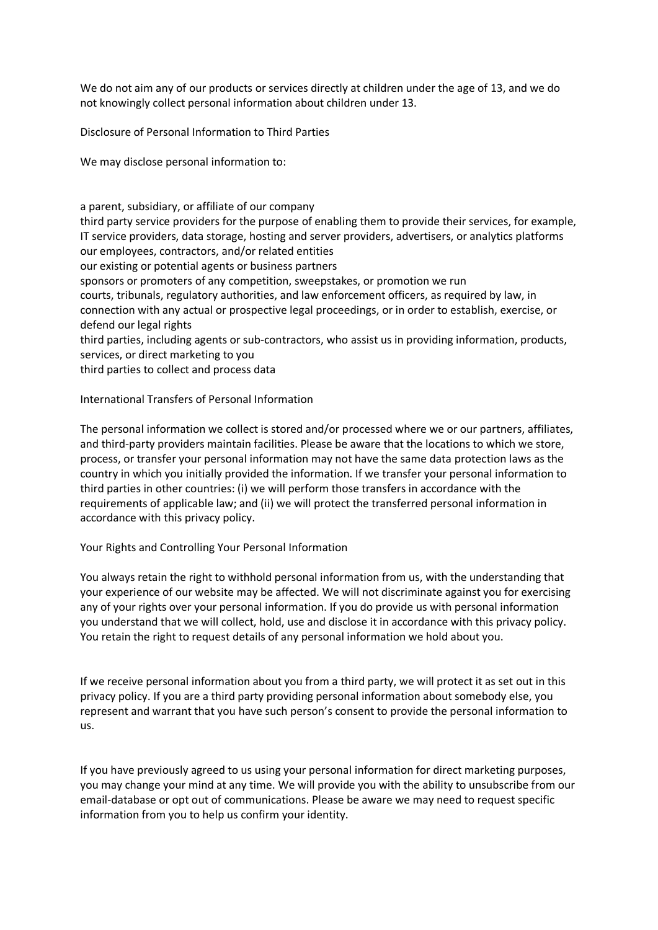We do not aim any of our products or services directly at children under the age of 13, and we do not knowingly collect personal information about children under 13.

Disclosure of Personal Information to Third Parties

We may disclose personal information to:

a parent, subsidiary, or affiliate of our company third party service providers for the purpose of enabling them to provide their services, for example, IT service providers, data storage, hosting and server providers, advertisers, or analytics platforms our employees, contractors, and/or related entities our existing or potential agents or business partners sponsors or promoters of any competition, sweepstakes, or promotion we run courts, tribunals, regulatory authorities, and law enforcement officers, as required by law, in connection with any actual or prospective legal proceedings, or in order to establish, exercise, or defend our legal rights third parties, including agents or sub-contractors, who assist us in providing information, products, services, or direct marketing to you third parties to collect and process data

International Transfers of Personal Information

The personal information we collect is stored and/or processed where we or our partners, affiliates, and third-party providers maintain facilities. Please be aware that the locations to which we store, process, or transfer your personal information may not have the same data protection laws as the country in which you initially provided the information. If we transfer your personal information to third parties in other countries: (i) we will perform those transfers in accordance with the requirements of applicable law; and (ii) we will protect the transferred personal information in accordance with this privacy policy.

Your Rights and Controlling Your Personal Information

You always retain the right to withhold personal information from us, with the understanding that your experience of our website may be affected. We will not discriminate against you for exercising any of your rights over your personal information. If you do provide us with personal information you understand that we will collect, hold, use and disclose it in accordance with this privacy policy. You retain the right to request details of any personal information we hold about you.

If we receive personal information about you from a third party, we will protect it as set out in this privacy policy. If you are a third party providing personal information about somebody else, you represent and warrant that you have such person's consent to provide the personal information to us.

If you have previously agreed to us using your personal information for direct marketing purposes, you may change your mind at any time. We will provide you with the ability to unsubscribe from our email-database or opt out of communications. Please be aware we may need to request specific information from you to help us confirm your identity.